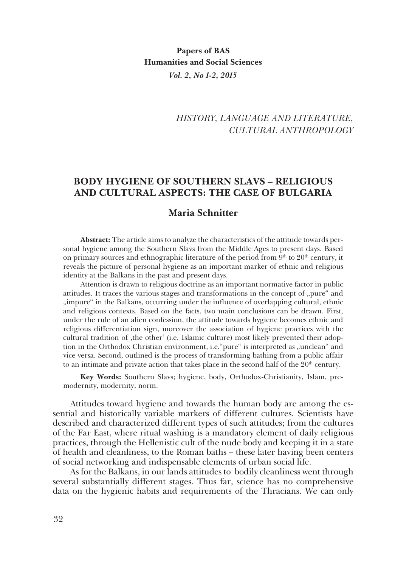## *HISTORY, LANGUAGE AND LITERATURE, CULTURAL ANTHROPOLOGY*

## **BODY HYGIENE OF SOUTHERN SLAVS – RELIGIOUS AND CULTURAL ASPECTS: ТHE CASE OF BULGARIA**

## **Maria Schnitter**

**Abstract:** The article aims to analyze the characteristics of the attitude towards personal hygiene among the Southern Slavs from the Middle Ages to present days. Based on primary sources and ethnographic literature of the period from  $9<sup>th</sup>$  to  $20<sup>th</sup>$  century, it reveals the picture of personal hygiene as an important marker of ethnic and religious identity at the Balkans in the past and present days.

Attention is drawn to religious doctrine as an important normative factor in public attitudes. It traces the various stages and transformations in the concept of "pure" and "impure" in the Balkans, occurring under the influence of overlapping cultural, ethnic and religious contexts. Based on the facts, two main conclusions can be drawn. First, under the rule of an alien confession, the attitude towards hygiene becomes ethnic and religious differentiation sign, moreover the association of hygiene practices with the cultural tradition of , the other' (i.e. Islamic culture) most likely prevented their adoption in the Orthodox Christian environment, i.e. "pure" is interpreted as "unclean" and vice versa. Second, outlined is the process of transforming bathing from a public affair to an intimate and private action that takes place in the second half of the  $20<sup>th</sup>$  century.

**Key Words:** Southern Slavs; hygiene, body, Orthodox-Christianity, Islam, premodernity, modernity; norm.

Attitudes toward hygiene and towards the human body are among the essential and historically variable markers of different cultures. Scientists have described and characterized different types of such attitudes; from the cultures of the Far East, where ritual washing is a mandatory element of daily religious practices, through the Hellenistic cult of the nude body and keeping it in a state of health and cleanliness, to the Roman baths – these later having been centers of social networking and indispensable elements of urban social life.

As for the Balkans, in our lands attitudes to bodily cleanliness went through several substantially different stages. Thus far, science has no comprehensive data on the hygienic habits and requirements of the Thracians. We can only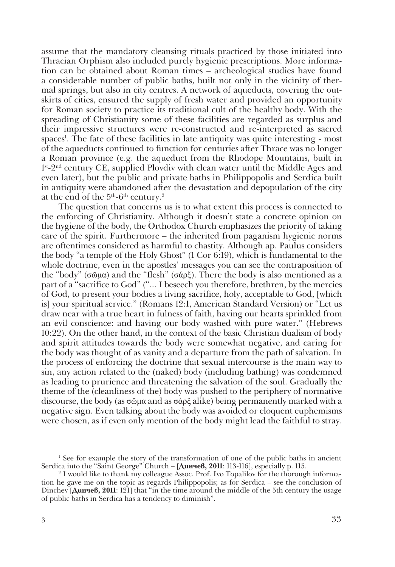assume that the mandatory cleansing rituals practiced by those initiated into Thracian Orphism also included purely hygienic prescriptions. More information can be obtained about Roman times – archeological studies have found a considerable number of public baths, built not only in the vicinity of thermal springs, but also in city centres. A network of aqueducts, covering the outskirts of cities, ensured the supply of fresh water and provided an opportunity for Roman society to practice its traditional cult of the healthy body. With the spreading of Christianity some of these facilities are regarded as surplus and their impressive structures were re-constructed and re-interpreted as sacred spaces<sup>1</sup>. The fate of these facilities in late antiquity was quite interesting - most of the aqueducts continued to function for centuries after Thrace was no longer a Roman province (e.g. the aquеduct from the Rhodope Mountains, built in 1<sup>st</sup>-2<sup>nd</sup> century CE, supplied Plovdiv with clean water until the Middle Ages and even later), but the public and private baths in Philippopolis and Serdica built in antiquity were abandoned after the devastation and depopulation of the city at the end of the  $5^{\rm th}$ -6 $^{\rm th}$  century. $^2$ 

The question that concerns us is to what extent this process is connected to the enforcing of Christianity. Although it doesn't state a concrete opinion on the hygiene of the body, the Orthodox Church emphasizes the priority of taking care of the spirit. Furthermore – the inherited from paganism hygienic norms are oftentimes considered as harmful to chastity. Although ap. Paulus considers the body "a temple of the Holy Ghost" (1 Cor 6:19), which is fundamental to the whole doctrine, even in the apostles' messages you can see the contraposition of the "body" (σῶμα) and the "flesh" (σάρξ). There the body is also mentioned as a part of a "sacrifice to God" ("... I beseech you therefore, brethren, by the mercies of God, to present your bodies a living sacrifice, holy, acceptable to God, [which is] your spiritual service." (Romans 12:1, American Standard Version) or "Let us draw near with a true heart in fulness of faith, having our hearts sprinkled from an evil conscience: and having our body washed with pure water." (Hebrews 10:22). On the other hand, in the context of the basic Christian dualism of body and spirit attitudes towards the body were somewhat negative, and caring for the body was thought of as vanity and a departure from the path of salvation. In the process of enforcing the doctrine that sexual intercourse is the main way to sin, any action related to the (naked) body (including bathing) was condemned as leading to prurience and threatening the salvation of the soul. Gradually the theme of the (cleanliness of the) body was pushed to the periphery of normative discourse, the body (as σῶμα and as σάρξ alike) being permanently marked with a negative sign. Even talking about the body was avoided or eloquent euphemisms were chosen, as if even only mention of the body might lead the faithful to stray.

<sup>&</sup>lt;sup>1</sup> See for example the story of the transformation of one of the public baths in ancient Serdica into the "Saint George" Church – [**Динчев, 2011**: 113-116], especially p. 115.

<sup>2</sup> I would like to thank my colleague Assoc. Prof. Ivo Topalilov for the thorough information he gave me on the topic as regards Philippopolis; as for Serdica – see the conclusion of Dinchev [**Динчев, 2011**: 121] that "in the time around the middle of the 5th century the usage of public baths in Serdica has a tendency to diminish".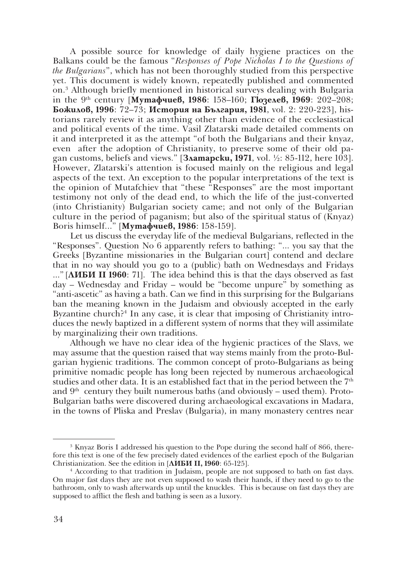A possible source for knowledge of daily hygiene practices on the Balkans could be the famous "*Responses of Pope Nicholas I to the Questions of the Bulgarians*", which has not been thoroughly studied from this perspective yet. This document is widely known, repeatedly published and commented on.3 Although briefly mentioned in historical surveys dealing with Bulgaria in the 9th century [**Мутафчиев, 1986**: 158–160; **Гюзелев, 1969**: 202–208; **Божилов, 1996**: 72–73; **История на България, 1981**, vol. 2: 220-223], historians rarely review it as anything other than evidence of the ecclesiastical and political events of the time. Vasil Zlatarski made detailed comments on it and interpreted it as the attempt "of both the Bulgarians and their knyaz, even after the adoption of Christianity, to preserve some of their old pagan customs, beliefs and views." [**Златарски, 1971**, vol. ½: 85-112, here 103]. However, Zlatarski's attention is focused mainly on the religious and legal aspects of the text. An exception to the popular interpretations of the text is the opinion of Mutafchiev that "these "Responses" are the most important testimony not only of the dead end, to which the life of the just-converted (into Christianity) Bulgarian society came; and not only of the Bulgarian culture in the period of paganism; but also of the spiritual status of (Knyaz) Boris himself..." [**Мутафчиев, 1986**: 158-159].

Let us discuss the everyday life of the medieval Bulgarians, reflected in the "Responses". Question No 6 apparently refers to bathing: "... you say that the Greeks [Byzantine missionaries in the Bulgarian court] contend and declare that in no way should you go to a (public) bath on Wednesdays and Fridays ..." [**ЛИБИ II 1960**: 71]. The idea behind this is that the days observed as fast day – Wednesday and Friday – would be "become unpure" by something as "anti-ascetic" as having a bath. Can we find in this surprising for the Bulgarians ban the meaning known in the Judaism and obviously accepted in the early Byzantine church?<sup>4</sup> In any case, it is clear that imposing of Christianity introduces the newly baptized in a different system of norms that they will assimilate by marginalizing their own traditions.

Although we have no clear idea of the hygienic practices of the Slavs, we may assume that the question raised that way stems mainly from the proto-Bulgarian hygienic traditions. The common concept of proto-Bulgarians as being primitive nomadic people has long been rejected by numerous archaeological studies and other data. It is an established fact that in the period between the  $7<sup>th</sup>$ and  $9<sup>th</sup>$  century they built numerous baths (and obviously – used them). Proto-Bulgarian baths were discovered during archaeological excavations in Madara, in the towns of Pliska and Preslav (Bulgaria), in many monastery centres near

<sup>&</sup>lt;sup>3</sup> Knyaz Boris I addressed his question to the Pope during the second half of 866, therefore this text is one of the few precisely dated evidences of the earliest epoch of the Bulgarian Christianization. See the edition in [**ЛИБИ II, 1960**: 65-125].

<sup>4</sup> According to that tradition in Judaism, people are not supposed to bath on fast days. On major fast days they are not even supposed to wash their hands, if they need to go to the bathroom, only to wash afterwards up until the knuckles. This is because on fast days they are supposed to afflict the flesh and bathing is seen as a luxory.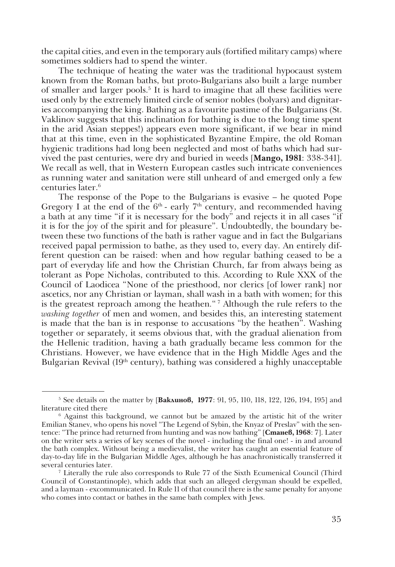the capital cities, and even in the temporary auls (fortified military camps) where sometimes soldiers had to spend the winter.

The technique of heating the water was the traditional hypocaust system known from the Roman baths, but proto-Bulgarians also built a large number of smaller and larger pools.<sup>5</sup> It is hard to imagine that all these facilities were used only by the extremely limited circle of senior nobles (bolyars) and dignitaries accompanying the king. Bathing as a favourite pastime of the Bulgarians (St. Vaklinov suggests that this inclination for bathing is due to the long time spent in the arid Asian steppes!) appears even more significant, if we bear in mind that at this time, even in the sophisticated Byzantine Empire, the old Roman hygienic traditions had long been neglected and most of baths which had survived the past centuries, were dry and buried in weeds [**Mango, 1981**: 338-341]. We recall as well, that in Western European castles such intricate conveniences as running water and sanitation were still unheard of and emerged only a few centuries later. 6

The response of the Pope to the Bulgarians is evasive – he quoted Pope Gregory I at the end of the  $6<sup>th</sup>$  - early  $7<sup>th</sup>$  century, and recommended having a bath at any time "if it is necessary for the body" and rejects it in all cases "if it is for the joy of the spirit and for pleasure". Undoubtedly, the boundary between these two functions of the bath is rather vague and in fact the Bulgarians received papal permission to bathe, as they used to, every day. An entirely different question can be raised: when and how regular bathing ceased to be a part of everyday life and how the Christian Church, far from always being as tolerant as Pope Nicholas, contributed to this. According to Rule XXX of the Council of Laodicea "None of the priesthood, nor clerics [of lower rank] nor ascetics, nor any Christian or layman, shall wash in a bath with women; for this is the greatest reproach among the heathen*.*" 7 Although the rule refers to the *washing together* of men and women, and besides this, an interesting statement is made that the ban is in response to accusations "by the heathen". Washing together or separately, it seems obvious that, with the gradual alienation from the Hellenic tradition, having a bath gradually became less common for the Christians. However, we have evidence that in the High Middle Ages and the Bulgarian Revival (19<sup>th</sup> century), bathing was considered a highly unacceptable

<sup>&</sup>lt;sup>5</sup> See details on the matter by [**Ваклинов, 1977**: 91, 95, 110, 118, 122, 126, 194, 195] and literature cited there

<sup>6</sup> Against this background, we cannot but be amazed by the artistic hit of the writer Emilian Stanev, who opens his novel "The Legend of Sybin, the Knyaz of Preslav" with the sentence: "The prince had returned from hunting and was now bathing" [**Станев, 1968**: 7]. Later on the writer sets a series of key scenes of the novel - including the final one! - in and around the bath complex. Without being a medievalist, the writer has caught an essential feature of day-to-day life in the Bulgarian Middle Ages, although he has anachronistically transferred it several centuries later.

<sup>7</sup> Literally the rule also corresponds to Rule 77 of the Sixth Ecumenical Council (Third Council of Constantinople), which adds that such an alleged clergyman should be expelled, and a layman - excommunicated. In Rule 11 of that council there is the same penalty for anyone who comes into contact or bathes in the same bath complex with Jews.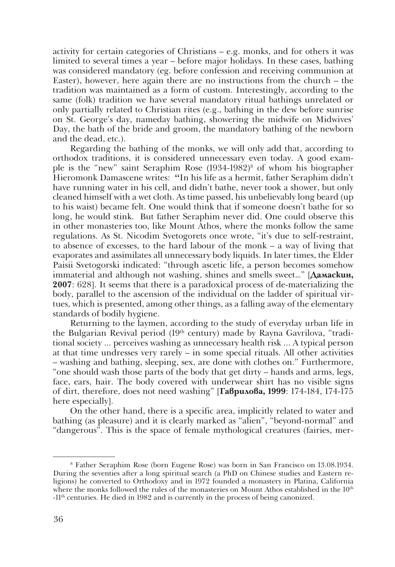activity for certain categories of Christians – e.g. monks, and for others it was limited to several times a year – before major holidays. In these cases, bathing was considered mandatory (eg. before confession and receiving communion at Easter), however, here again there are no instructions from the church – the tradition was maintained as a form of custom. Interestingly, according to the same (folk) tradition we have several mandatory ritual bathings unrelated or only partially related to Christian rites (e.g., bathing in the dew before sunrise on St. George's day, nameday bathing, showering the midwife on Midwives' Day, the bath of the bride and groom, the mandatory bathing of the newborn and the dead, etc.).

Regarding the bathing of the monks, we will only add that, according to orthodox traditions, it is considered unnecessary even today. A good example is the "new" saint Seraphim Rose (1934-1982)<sup>8</sup> of whom his biographer Hieromonk Damascene writes: **"**In his life as a hermit, father Seraphim didn't have running water in his cell, and didn't bathe, never took a shower, but only cleaned himself with a wet cloth. As time passed, his unbelievably long beard (up to his waist) became felt. One would think that if someone doesn't bathe for so long, he would stink. But father Seraphim never did. One could observe this in other monasteries too, like Mount Athos, where the monks follow the same regulations. As St. Nicodim Svetogorets once wrote, "it's due to self-restraint, to absence of excesses, to the hard labour of the monk – a way of living that evaporates and assimilates all unnecessary body liquids. In later times, the Elder Paisii Svetogorski indicated: "through ascetic life, a person becomes somehow immaterial and although not washing, shines and smells sweet…" [**Дамаскин, 2007**: 628]. It seems that there is a paradoxical process of de-materializing the body, parallel to the ascension of the individual on the ladder of spiritual virtues, which is presented, among other things, as a falling away of the elementary standards of bodily hygiene.

Returning to the laymen, according to the study of everyday urban life in the Bulgarian Revival period  $(19<sup>th</sup>$  century) made by Rayna Gavrilova, "traditional society ... perceives washing as unnecessary health risk ... A typical person at that time undresses very rarely – in some special rituals. All other activities – washing and bathing, sleeping, sex, are done with clothes on." Furthermore, "one should wash those parts of the body that get dirty – hands and arms, legs, face, ears, hair. The body covered with underwear shirt has no visible signs of dirt, therefore, does not need washing" [**Гаврилова, 1999**: 174-184, 174-175 here especially].

On the other hand, there is a specific area, implicitly related to water and bathing (as pleasure) and it is clearly marked as "alien", "beyond-normal" and "dangerous". This is the space of female mythological creatures (fairies, mer-

<sup>8</sup> Father Seraphim Rose (born Eugene Rose) was born in San Francisco on 13.08.1934. During the seventies after a long spiritual search (a PhD on Chinese studies and Eastern religions) he converted to Orthodoxy and in 1972 founded a monastery in Platina, California where the monks followed the rules of the monasteries on Mount Athos established in the  $10<sup>th</sup>$ -11th centuries. He died in 1982 and is currently in the process of being canonized.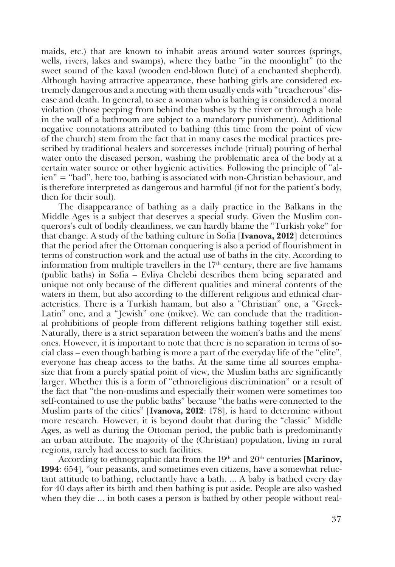maids, etc.) that are known to inhabit areas around water sources (springs, wells, rivers, lakes and swamps), where they bathe "in the moonlight" (to the sweet sound of the kaval (wooden end-blown flute) of a enchanted shepherd). Although having attractive appearance, these bathing girls are considered extremely dangerous and a meeting with them usually ends with "treacherous" disease and death. In general, to see a woman who is bathing is considered a moral violation (those peeping from behind the bushes by the river or through a hole in the wall of a bathroom are subject to a mandatory punishment). Additional negative connotations attributed to bathing (this time from the point of view of the church) stem from the fact that in many cases the medical practices prescribed by traditional healers and sorceresses include (ritual) pouring of herbal water onto the diseased person, washing the problematic area of the body at a certain water source or other hygienic activities. Following the principle of "alien" = "bad", here too, bathing is associated with non-Christian behaviour, and is therefore interpreted as dangerous and harmful (if not for the patient's body, then for their soul).

The disappearance of bathing as a daily practice in the Balkans in the Middle Ages is a subject that deserves a special study. Given the Muslim conquerors's cult of bodily cleanliness, we can hardly blame the "Turkish yoke" for that change. A study of the bathing culture in Sofia [**Ivanova, 2012**] determines that the period after the Ottoman conquering is also a period of flourishment in terms of construction work and the actual use of baths in the city. According to information from multiple travellers in the  $17<sup>th</sup>$  century, there are five hamams (public baths) in Sofia – Evliya Chelebi describes them being separated and unique not only because of the different qualities and mineral contents of the waters in them, but also according to the different religious and ethnical characteristics. There is a Turkish hamam, but also a "Christian" one, a "Greek-Latin" one, and a "Jewish" one (mikve). We can conclude that the traditional prohibitions of people from different religions bathing together still exist. Naturally, there is a strict separation between the women's baths and the mens' ones. However, it is important to note that there is no separation in terms of social class – even though bathing is more a part of the everyday life of the "elite", everyone has cheap access to the baths. At the same time all sources emphasize that from a purely spatial point of view, the Muslim baths are significantly larger. Whether this is a form of "ethnoreligious discrimination" or a result of the fact that "the non-muslims and especially their women were sometimes too self-contained to use the public baths" because "the baths were connected to the Muslim parts of the cities" [**Ivanova, 2012**: 178], is hard to determine without more research. However, it is beyond doubt that during the "classic" Middle Аges, as well as during the Ottoman period, the public bath is predominantly an urban attribute. The majority of the (Christian) population, living in rural regions, rarely had access to such facilities.

According to ethnographic data from the 19<sup>th</sup> and 20<sup>th</sup> centuries [Marinov, **1994**: 654], *"*our peasants, and sometimes even citizens, have a somewhat reluctant attitude to bathing, reluctantly have a bath. ... A baby is bathed every day for 40 days after its birth and then bathing is put aside. People are also washed when they die ... in both cases a person is bathed by other people without real-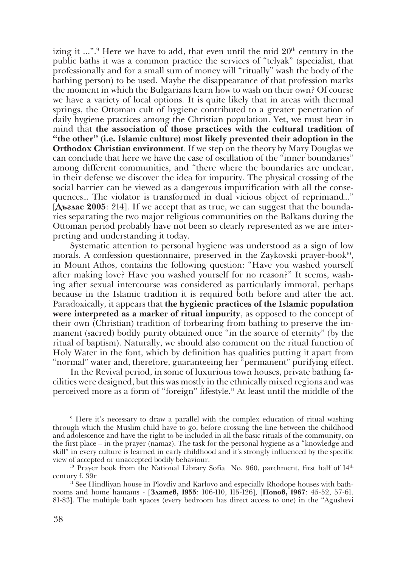izing it ...".<sup>9</sup> Here we have to add, that even until the mid 20<sup>th</sup> century in the public baths it was a common practice the services of "telyak" (specialist, that professionally and for a small sum of money will "ritually" wash the body of the bathing person) to be used. Maybe the disappearance of that profession marks the moment in which the Bulgarians learn how to wash on their own? Of course we have a variety of local options. It is quite likely that in areas with thermal springs, the Ottoman cult of hygiene contributed to a greater penetration of daily hygiene practices among the Christian population. Yet, we must bear in mind that **the association of those practices with the cultural tradition of "the other" (i.e. Islamic culture) most likely prevented their adoption in the Orthodox Christian environment***.* If we step on the theory by Mary Douglas we can conclude that here we have the case of oscillation of the "inner boundaries" among different communities, and "there where the boundaries are unclear, in their defense we discover the idea for impurity. The physical crossing of the social barrier can be viewed as a dangerous impurification with all the consequences… The violator is transformed in dual vicious object of reprimand…" [**Дъглас 2005**: 214]. If we accept that as true, we can suggest that the boundaries separating the two major religious communities on the Balkans during the Ottoman period probably have not been so clearly represented as we are interpreting and understanding it today.

Systematic attention to personal hygiene was understood as a sign of low morals. A confession questionnaire, preserved in the Zaykovski prayer-book<sup>10</sup>, in Mount Athos, contains the following question: "Have you washed yourself after making love? Have you washed yourself for no reason?" It seems, washing after sexual intercourse was considered as particularly immoral, perhaps because in the Islamic tradition it is required both before and after the act. Paradoxically, it appears that **the hygienic practices of the Islamic population were interpreted as a marker of ritual impurity**, as opposed to the concept of their own (Christian) tradition of forbearing from bathing to preserve the immanent (sacred) bodily purity obtained once "in the source of eternity" (by the ritual of baptism). Naturally, we should also comment on the ritual function of Holy Water in the font, which by definition has qualities putting it apart from "normal" water and, therefore, guaranteeing her "permanent" purifying effect.

In the Revival period, in some of luxurious town houses, private bathing facilities were designed, but this was mostly in the ethnically mixed regions and was perceived more as a form of "foreign" lifestyle.11 At least until the middle of the

<sup>9</sup> Here it's necessary to draw a parallel with the complex education of ritual washing through which the Muslim child have to go, before crossing the line between the childhood and adolescence and have the right to be included in all the basic rituals of the community, on the first place – in the prayer (namaz). The task for the personal hygiene as a "knowledge and skill" in every culture is learned in early childhood and it's strongly influenced by the specific<br>view of accepted or unaccepted bodily behaviour.

<sup>&</sup>lt;sup>10</sup> Prayer book from the National Library Sofia No. 960, parchment, first half of 14<sup>th</sup> century f. 39r

<sup>&</sup>lt;sup>11</sup> See Hindliyan house in Plovdiv and Karlovo and especially Rhodope houses with bathrooms and home hamams - [**Златев, 1955**: 106-110, 115-126], [**Попов, 1967**: 45-52, 57-61, 81-83]. The multiple bath spaces (every bedroom has direct access to one) in the "Agushevi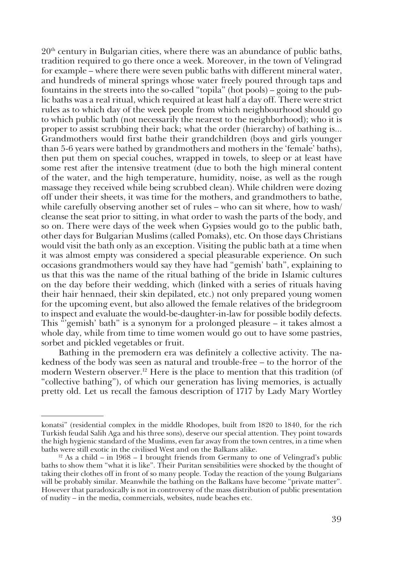20th century in Bulgarian cities, where there was an abundance of public baths, tradition required to go there once a week. Moreover, in the town of Velingrad for example – where there were seven public baths with different mineral water, and hundreds of mineral springs whose water freely poured through taps and fountains in the streets into the so-called "topila" (hot pools) – going to the public baths was a real ritual, which required at least half a day off. There were strict rules as to which day of the week people from which neighbourhood should go to which public bath (not necessarily the nearest to the neighborhood); who it is proper to assist scrubbing their back; what the order (hierarchy) of bathing is... Grandmothers would first bathe their grandchildren (boys and girls younger than 5-6 years were bathed by grandmothers and mothers in the 'female' baths), then put them on special couches, wrapped in towels, to sleep or at least have some rest after the intensive treatment (due to both the high mineral content of the water, and the high temperature, humidity, noise, as well as the rough massage they received while being scrubbed clean). While children were dozing off under their sheets, it was time for the mothers, and grandmothers to bathe, while carefully observing another set of rules – who can sit where, how to wash/ cleanse the seat prior to sitting, in what order to wash the parts of the body, and so on. There were days of the week when Gypsies would go to the public bath, other days for Bulgarian Muslims (called Pomaks), etc. On those days Christians would visit the bath only as an exception. Visiting the public bath at a time when it was almost empty was considered a special pleasurable experience. On such occasions grandmothers would say they have had "gemish' bath", explaining to us that this was the name of the ritual bathing of the bride in Islamic cultures on the day before their wedding, which (linked with a series of rituals having their hair hennaed, their skin depilated, etc.) not only prepared young women for the upcoming event, but also allowed the female relatives of the bridegroom to inspect and evaluate the would-be-daughter-in-law for possible bodily defects. This "'gemish' bath" is a synonym for a prolonged pleasure – it takes almost a whole day, while from time to time women would go out to have some pastries, sorbet and pickled vegetables or fruit.

Bathing in the premodern era was definitely a collective activity. The nakedness of the body was seen as natural and trouble-free – to the horror of the modern Western observer.<sup>12</sup> Here is the place to mention that this tradition (of "collective bathing"), of which our generation has living memories, is actually pretty old. Let us recall the famous description of 1717 by Lady Mary Wortley

konatsi" (residential complex in the middle Rhodopes, built from 1820 to 1840, for the rich Turkish feudal Salih Aga and his three sons), deserve our special attention. They point towards the high hygienic standard of the Muslims, even far away from the town centres, in a time when baths were still exotic in the civilised West and on the Balkans alike.

<sup>&</sup>lt;sup>12</sup> As a child – in 1968 – I brought friends from Germany to one of Velingrad's public baths to show them "what it is like". Their Puritan sensibilities were shocked by the thought of taking their clothes off in front of so many people. Today the reaction of the young Bulgarians will be probably similar. Meanwhile the bathing on the Balkans have become "private matter". However that paradoxically is not in controversy of the mass distribution of public presentation of nudity – in the media, commercials, websites, nude beaches etc.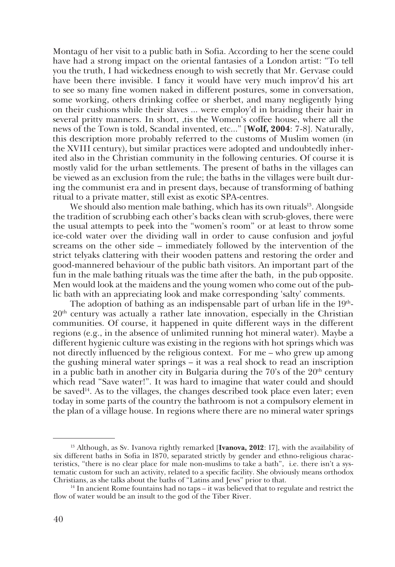Montagu of her visit to a public bath in Sofia. According to her the scene could have had a strong impact on the oriental fantasies of a London artist: "To tell you the truth, I had wickedness enough to wish secretly that Mr. Gervase could have been there invisible. I fancy it would have very much improv'd his art to see so many fine women naked in different postures, some in conversation, some working, others drinking coffee or sherbet, and many negligently lying on their cushions while their slaves ... were employ'd in braiding their hair in several pritty manners. In short, ,tis the Women's coffee house, where all the news of the Town is told, Scandal invented, etc..." [**Wolf, 2004**: 7-8]. Naturally, this description more probably referred to the customs of Muslim women (in the XVIII century), but similar practices were adopted and undoubtedly inherited also in the Christian community in the following centuries. Of course it is mostly valid for the urban settlements. The present of baths in the villages can be viewed as an exclusion from the rule; the baths in the villages were built during the communist era and in present days, because of transforming of bathing ritual to a private matter, still exist as exotic SPA-centres.

We should also mention male bathing, which has its own rituals<sup>13</sup>. Alongside the tradition of scrubbing each other's backs clean with scrub-gloves, there were the usual attempts to peek into the "women's room" or at least to throw some ice-cold water over the dividing wall in order to cause confusion and joyful screams on the other side – immediately followed by the intervention of the strict telyaks clattering with their wooden pattens and restoring the order and good-mannered behaviour of the public bath visitors. An important part of the fun in the male bathing rituals was the time after the bath, in the pub opposite. Men would look at the maidens and the young women who come out of the public bath with an appreciating look and make corresponding 'salty' comments.

The adoption of bathing as an indispensable part of urban life in the  $19<sup>th</sup>$ - $20<sup>th</sup>$  century was actually a rather late innovation, especially in the Christian communities. Of course, it happened in quite different ways in the different regions (e.g., in the absence of unlimited running hot mineral water). Maybe a different hygienic culture was existing in the regions with hot springs which was not directly influenced by the religious context. For me – who grew up among the gushing mineral water springs – it was a real shock to read an inscription in a public bath in another city in Bulgaria during the  $70^{\circ}$ s of the  $20^{\rm th}$  century which read "Save water!". It was hard to imagine that water could and should be saved<sup>14</sup>. As to the villages, the changes described took place even later; even today in some parts of the country the bathroom is not a compulsory element in the plan of a village house. In regions where there are no mineral water springs

<sup>13</sup> Аlthough, as Sv. Ivanova rightly remarked [**Ivanova, 2012**: 17], with the availability of six different baths in Sofia in 1870, separated strictly by gender and ethno-religious characteristics, "there is no clear place for male non-muslims to take a bath", i.e. there isn't a systematic custom for such an activity, related to a specific facility. She obviously means orthodox Christians, as she talks about the baths of "Latins and Jews" prior to that.

 $14$  In ancient Rome fountains had no taps – it was believed that to regulate and restrict the flow of water would be an insult to the god of the Tiber River.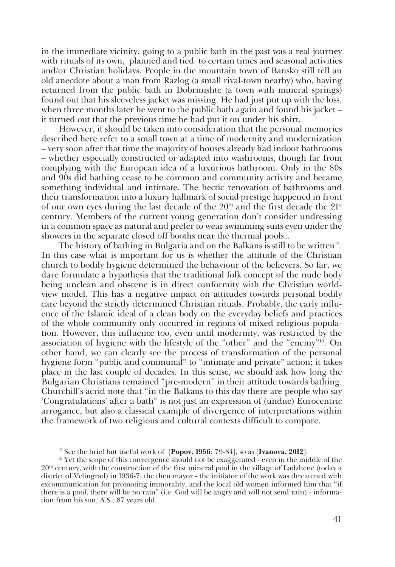in the immediate vicinity, going to a public bath in the past was a real journey with rituals of its own, planned and tied to certain times and seasonal activities and/or Christian holidays. People in the mountain town of Bansko still tell an old anecdote about a man from Razlog (a small rival-town nearby) who, having returned from the public bath in Dobrinishte (a town with mineral springs) found out that his sleeveless jacket was missing. He had just put up with the loss, when three months later he went to the public bath again and found his jacket – it turned out that the previous time he had put it on under his shirt.

However, it should be taken into consideration that the personal memories described here refer to a small town at a time of modernity and modernization – very soon after that time the majority of houses already had indoor bathrooms – whether especially constructed or adapted into washrooms, though far from complying with the European idea of a luxurious bathroom. Only in the 80s and 90s did bathing cease to be common and community activity and became something individual and intimate. The hectic renovation of bathrooms and their transformation into a luxury hallmark of social prestige happened in front of our own eyes during the last decade of the  $20<sup>th</sup>$  and the first decade the  $21<sup>st</sup>$ century. Members of the current young generation don't consider undressing in a common space as natural and prefer to wear swimming suits even under the showers in the separate closed off booths near the thermal pools…

The history of bathing in Bulgaria and on the Balkans is still to be written<sup>15</sup>. In this case what is important for us is whether the attitude of the Christian church to bodily hygiene determined the behaviour of the believers. So far, we dare formulate a hypothesis that the traditional folk concept of the nude body being unclean and obscene is in direct conformity with the Christian worldview model. This has a negative impact on attitudes towards personal bodily care beyond the strictly determined Christian rituals. Probably, the early influence of the Islamic ideal of a clean body on the everyday beliefs and practices of the whole community only occurred in regions of mixed religious population. However, this influence too, even until modernity, was restricted by the association of hygiene with the lifestyle of the "other" and the "enemy"16. On other hand, we can clearly see the process of transformation of the personal hygiene form "public and communal" to "intimate and private" action; it takes place in the last couple of decades. In this sense, we should ask how long the Bulgarian Christians remained "pre-modern" in their attitude towards bathing. Churchill's acrid note that "in the Balkans to this day there are people who say 'Congratulations' after a bath" is not just an expression of (undue) Eurocentric arrogance, but also a classical example of divergence of interpretations within the framework of two religious and cultural contexts difficult to compare.

<sup>15</sup> See the brief but useful work of [**Popov, 1956**: 79-84], so as [**Ivanova, 2012**].

<sup>16</sup> Yet the scope of this convergence should not be exaggerated - even in the middle of the  $20<sup>th</sup>$  century, with the construction of the first mineral pool in the village of Ladzhene (today a district of Velingrad) in 1936-7, the then mayor - the initiator of the work was threatened with excommunication for promoting immorality, and the local old women informed him that "if there is a pool, there will be no rain" (i.e. God will be angry and will not send rain) - information from his son, A.S., 87 years old.